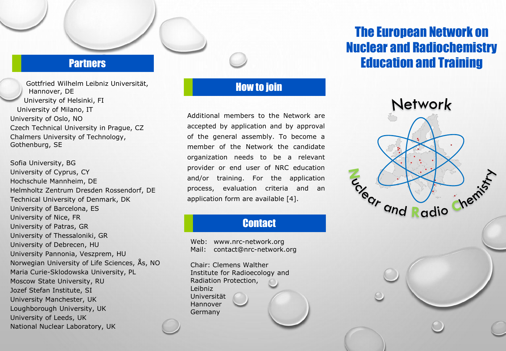#### **Partners**

Gottfried Wilhelm Leibniz Universität, Hannover, DE University of Helsinki, FI University of Milano, IT University of Oslo, NO Czech Technical University in Prague, CZ Chalmers University of Technology, Gothenburg, SE

Sofia University, BG University of Cyprus, CY Hochschule Mannheim, DE Helmholtz Zentrum Dresden Rossendorf, DE Technical University of Denmark, DK University of Barcelona, ES University of Nice, FR University of Patras, GR University of Thessaloniki, GR University of Debrecen, HU University Pannonia, Veszprem, HU Norwegian University of Life Sciences, Ås, NO Maria Curie-Sklodowska University, PL Moscow State University, RU Jozef Stefan Institute, SI University Manchester, UK Loughborough University, UK University of Leeds, UK National Nuclear Laboratory, UK

#### How to join

Additional members to the Network are accepted by application and by approval of the general assembly. To become a member of the Network the candidate organization needs to be a relevant provider or end user of NRC education and/or training. For the application process, evaluation criteria and an application form are available [4].

## **Contact**

Web: www.nrc-network.org Mail: contact@nrc-network.org

Chair: Clemens Walther Institute for Radioecology and Radiation Protection, Leibniz Universität Hannover **Germany** 

# The European Network on Nuclear and Radiochemistry Education and Training

Network

Engel ond Radio Chemist